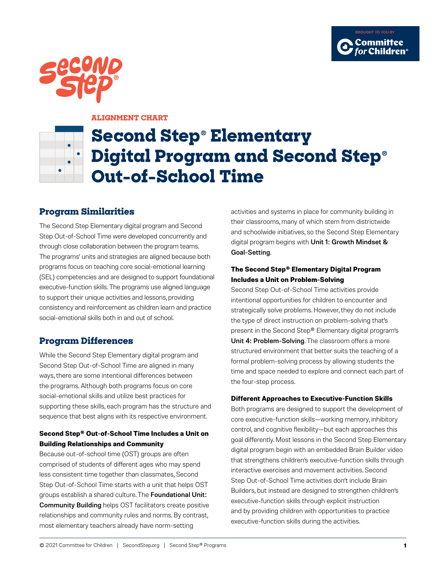



#### **ALIGNMENT CHART**

# **Second Step**® **Elementary Digital Program and Second Step**® **Out-of-School Time**

# **Program Similarities**

The Second Step Elementary digital program and Second Step Out-of-School Time were developed concurrently and through close collaboration between the program teams. The programs' units and strategies are aligned because both programs focus on teaching core social-emotional learning (SEL) competencies and are designed to support foundational executive-function skills. The programs use aligned language to support their unique activities and lessons, providing consistency and reinforcement as children learn and practice social-emotional skills both in and out of school.

# **Program Differences**

While the Second Step Elementary digital program and Second Step Out-of-School Time are aligned in many ways, there are some intentional differences between the programs. Although both programs focus on core social-emotional skills and utilize best practices for supporting these skills, each program has the structure and sequence that best aligns with its respective environment.

### **Second Step® Out-of-School Time Includes a Unit on Building Relationships and Community**

Because out-of-school time (OST) groups are often comprised of students of different ages who may spend less consistent time together than classmates, Second Step Out-of-School Time starts with a unit that helps OST groups establish a shared culture. The Foundational Unit: Community Building helps OST facilitators create positive relationships and community rules and norms. By contrast, most elementary teachers already have norm-setting

activities and systems in place for community building in their classrooms, many of which stem from districtwide and schoolwide initiatives, so the Second Step Elementary digital program begins with Unit 1: Growth Mindset & Goal-Setting.

#### **The Second Step® Elementary Digital Program Includes a Unit on Problem-Solving**

Second Step Out-of-School Time activities provide intentional opportunities for children to encounter and strategically solve problems. However, they do not include the type of direct instruction on problem-solving that's present in the Second Step® Elementary digital program's Unit 4: Problem-Solving. The classroom offers a more structured environment that better suits the teaching of a formal problem-solving process by allowing students the time and space needed to explore and connect each part of the four-step process.

### **Different Approaches to Executive-Function Skills**

Both programs are designed to support the development of core executive-function skills—working memory, inhibitory control, and cognitive flexibility—but each approaches this goal differently. Most lessons in the Second Step Elementary digital program begin with an embedded Brain Builder video that strengthens children's executive-function skills through interactive exercises and movement activities. Second Step Out-of-School Time activities don't include Brain Builders, but instead are designed to strengthen children's executive-function skills through explicit instruction and by providing children with opportunities to practice executive-function skills during the activities.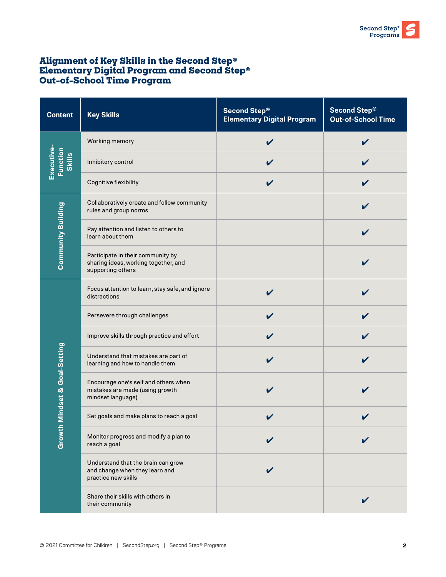# **Alignment of Key Skills in the Second Step**® **Elementary Digital Program and Second Step**® **Out-of-School Time Program**

| <b>Content</b>                                 | <b>Key Skills</b>                                                                              | Second Step®<br><b>Elementary Digital Program</b> | Second Step®<br><b>Out-of-School Time</b> |
|------------------------------------------------|------------------------------------------------------------------------------------------------|---------------------------------------------------|-------------------------------------------|
| Executive-<br><b>Function</b><br><b>Skills</b> | Working memory                                                                                 |                                                   |                                           |
|                                                | Inhibitory control                                                                             |                                                   |                                           |
|                                                | Cognitive flexibility                                                                          |                                                   |                                           |
| <b>Community Building</b>                      | Collaboratively create and follow community<br>rules and group norms                           |                                                   |                                           |
|                                                | Pay attention and listen to others to<br>learn about them                                      |                                                   |                                           |
|                                                | Participate in their community by<br>sharing ideas, working together, and<br>supporting others |                                                   |                                           |
| Mindset & Goal-Setting<br>Growth               | Focus attention to learn, stay safe, and ignore<br>distractions                                |                                                   |                                           |
|                                                | Persevere through challenges                                                                   |                                                   |                                           |
|                                                | Improve skills through practice and effort                                                     |                                                   |                                           |
|                                                | Understand that mistakes are part of<br>learning and how to handle them                        |                                                   |                                           |
|                                                | Encourage one's self and others when<br>mistakes are made (using growth<br>mindset language)   |                                                   |                                           |
|                                                | Set goals and make plans to reach a goal                                                       |                                                   |                                           |
|                                                | Monitor progress and modify a plan to<br>reach a goal                                          |                                                   |                                           |
|                                                | Understand that the brain can grow<br>and change when they learn and<br>practice new skills    | V                                                 |                                           |
|                                                | Share their skills with others in<br>their community                                           |                                                   |                                           |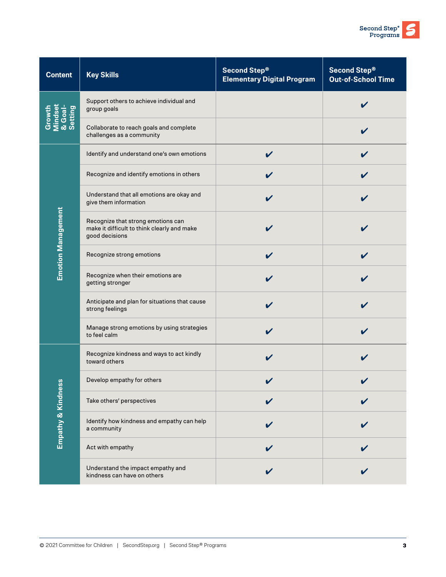| <b>Content</b>                          | <b>Key Skills</b>                                                                                   | <b>Second Step®</b><br><b>Elementary Digital Program</b> | Second Step®<br><b>Out-of-School Time</b> |
|-----------------------------------------|-----------------------------------------------------------------------------------------------------|----------------------------------------------------------|-------------------------------------------|
| Growth<br>Mindset<br>& Goal-<br>Setting | Support others to achieve individual and<br>group goals                                             |                                                          |                                           |
|                                         | Collaborate to reach goals and complete<br>challenges as a community                                |                                                          |                                           |
| <b>Emotion Management</b>               | Identify and understand one's own emotions                                                          |                                                          |                                           |
|                                         | Recognize and identify emotions in others                                                           |                                                          |                                           |
|                                         | Understand that all emotions are okay and<br>give them information                                  | V                                                        |                                           |
|                                         | Recognize that strong emotions can<br>make it difficult to think clearly and make<br>good decisions |                                                          |                                           |
|                                         | Recognize strong emotions                                                                           | V                                                        |                                           |
|                                         | Recognize when their emotions are<br>getting stronger                                               |                                                          |                                           |
|                                         | Anticipate and plan for situations that cause<br>strong feelings                                    |                                                          |                                           |
|                                         | Manage strong emotions by using strategies<br>to feel calm                                          |                                                          |                                           |
| ဖွ<br>Empathy & Kindnes                 | Recognize kindness and ways to act kindly<br>toward others                                          |                                                          |                                           |
|                                         | Develop empathy for others                                                                          |                                                          |                                           |
|                                         | Take others' perspectives                                                                           |                                                          |                                           |
|                                         | Identify how kindness and empathy can help<br>a community                                           |                                                          |                                           |
|                                         | Act with empathy                                                                                    |                                                          |                                           |
|                                         | Understand the impact empathy and<br>kindness can have on others                                    |                                                          |                                           |